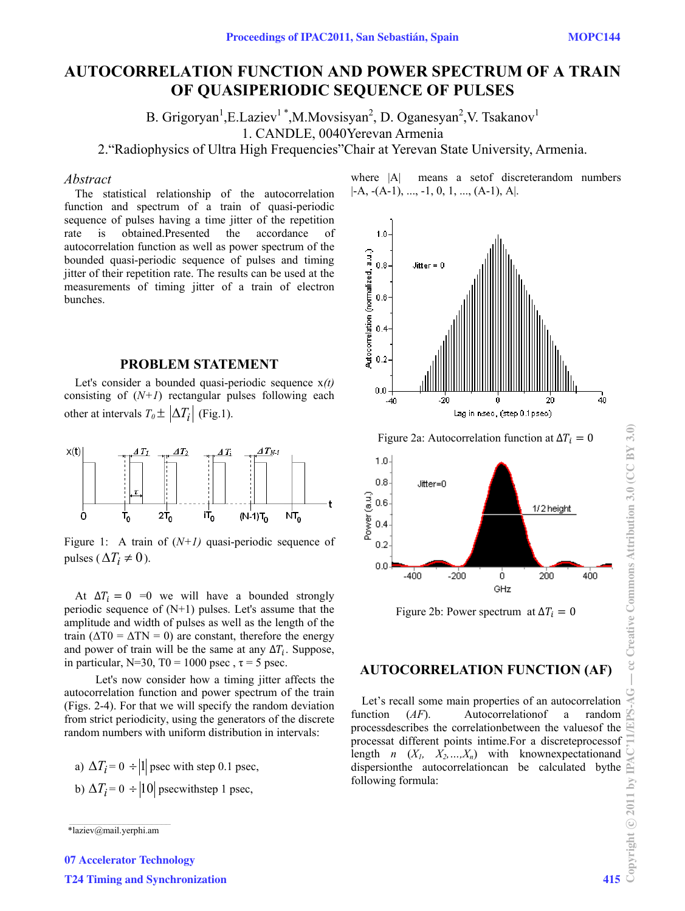# **AUTOCORRELATION FUNCTION AND POWER SPECTRUM OF A TRAIN OF QUASIPERIODIC SEQUENCE OF PULSES**

B. Grigoryan<sup>1</sup>, E.Laziev<sup>1</sup>\*, M.Movsisyan<sup>2</sup>, D. Oganesyan<sup>2</sup>, V. Tsakanov<sup>1</sup>

1. CANDLE, 0040Yerevan Armenia

2."Radiophysics of Ultra High Frequencies"Chair at Yerevan State University, Armenia.

### *Abstract*

The statistical relationship of the autocorrelation function and spectrum of a train of quasi-periodic sequence of pulses having a time jitter of the repetition rate is obtained.Presented the accordance of autocorrelation function as well as power spectrum of the bounded quasi-periodic sequence of pulses and timing jitter of their repetition rate. The results can be used at the measurements of timing jitter of a train of electron bunches.

### **PROBLEM STATEMENT**

Let's consider a bounded quasi-periodic sequence x*(t)* consisting of  $(N+1)$  rectangular pulses following each other at intervals  $T_0 \pm |\Delta T_i|$  (Fig.1).



Figure 1: A train of  $(N+1)$  quasi-periodic sequence of pulses ( $\Delta T_i \neq 0$ ).

At  $\Delta T_i = 0$  =0 we will have a bounded strongly periodic sequence of  $(N+1)$  pulses. Let's assume that the amplitude and width of pulses as well as the length of the train  $(\Delta T0 = \Delta T N = 0)$  are constant, therefore the energy and power of train will be the same at any  $\Delta T_i$ . Suppose, in particular, N=30, T0 = 1000 psec,  $\tau$  = 5 psec.

Let's now consider how a timing jitter affects the autocorrelation function and power spectrum of the train (Figs. 2-4). For that we will specify the random deviation from strict periodicity, using the generators of the discrete random numbers with uniform distribution in intervals:

a)  $\Delta T_i = 0 \div |1|$  psec with step 0.1 psec, b)  $\Delta T_i = 0$  ÷ |10| psecwithstep 1 psec,



where  $|A|$  means a set of discreterandom numbers

Figure 2a: Autocorrelation function at  $\Delta T_i = 0$ 



Figure 2b: Power spectrum at  $\Delta T_i = 0$ 

## **AUTOCORRELATION FUNCTION (AF)**

Let's recall some main properties of an autocorrelation function (*AF*). Autocorrelationof a random processdescribes the correlationbetween the valuesof the processat different points intime.For a discreteprocessof length  $n \left(X_1, X_2, \ldots, X_n\right)$  with known expectation and dispersionthe autocorrelationcan be calculated bythe following formula:

 $*$ laziev@mail.yerphi.am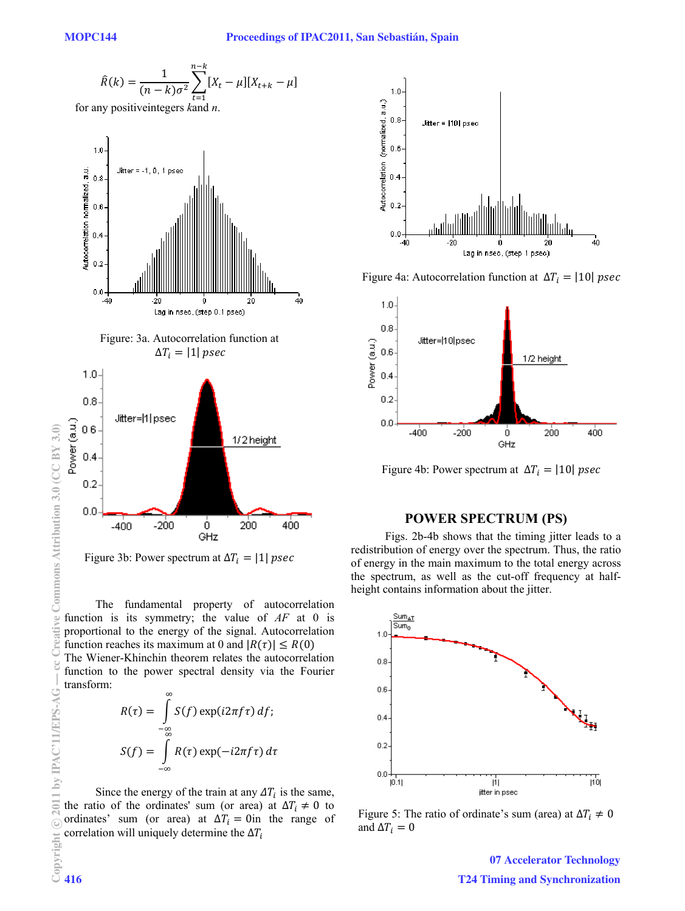$$
\hat{R}(k) = \frac{1}{(n-k)\sigma^2} \sum_{t=1}^{n-k} [X_t - \mu][X_{t+k} - \mu]
$$

for any positiveintegers *k*and *n*.



Figure 3b: Power spectrum at  $\Delta T_i = |1|$  psec

GHz

The fundamental property of autocorrelation function is its symmetry; the value of *AF* at 0 is proportional to the energy of the signal. Autocorrelation function reaches its maximum at 0 and  $|R(\tau)| \leq R(0)$ The Wiener-Khinchin theorem relates the autocorrelation function to the power spectral density via the Fourier transform:  $\infty$ 

$$
R(\tau) = \int_{-\infty}^{\infty} S(f) \exp(i2\pi f \tau) df;
$$
  

$$
S(f) = \int_{-\infty}^{\infty} R(\tau) \exp(-i2\pi f \tau) d\tau
$$

Since the energy of the train at any  $\Delta T_i$  is the same, the ratio of the ordinates' sum (or area) at  $\Delta T_i \neq 0$  to ordinates' sum (or area) at  $\Delta T_i = 0$ in the range of correlation will uniquely determine the  $\Delta T_i$ 



Figure 4a: Autocorrelation function at  $\Delta T_i = |10|$  psec



Figure 4b: Power spectrum at  $\Delta T_i = |10|$  psec

### **POWER SPECTRUM (PS)**

 Figs. 2b-4b shows that the timing jitter leads to a redistribution of energy over the spectrum. Thus, the ratio of energy in the main maximum to the total energy across the spectrum, as well as the cut-off frequency at halfheight contains information about the jitter.



Figure 5: The ratio of ordinate's sum (area) at  $\Delta T_i \neq 0$ and  $\Delta T_i = 0$ 

07 Accelerator Technology T24 Timing and Synchronization